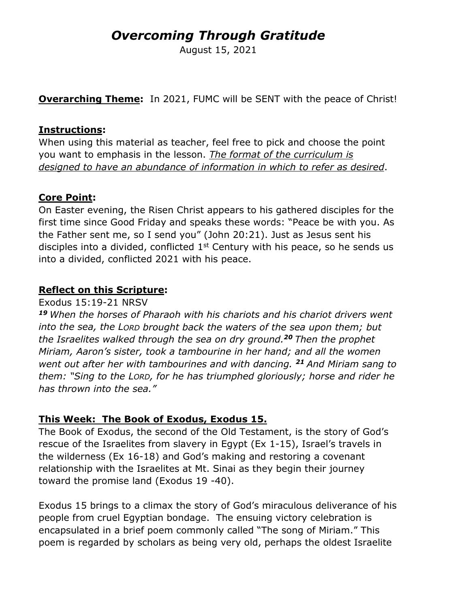# *Overcoming Through Gratitude*

August 15, 2021

**Overarching Theme:** In 2021, FUMC will be SENT with the peace of Christ!

#### **Instructions:**

When using this material as teacher, feel free to pick and choose the point you want to emphasis in the lesson. *The format of the curriculum is designed to have an abundance of information in which to refer as desired*.

## **Core Point:**

On Easter evening, the Risen Christ appears to his gathered disciples for the first time since Good Friday and speaks these words: "Peace be with you. As the Father sent me, so I send you" (John 20:21). Just as Jesus sent his disciples into a divided, conflicted  $1<sup>st</sup>$  Century with his peace, so he sends us into a divided, conflicted 2021 with his peace.

### **Reflect on this Scripture:**

#### Exodus 15:19-21 NRSV

*<sup>19</sup> When the horses of Pharaoh with his chariots and his chariot drivers went into the sea, the LORD brought back the waters of the sea upon them; but the Israelites walked through the sea on dry ground.<sup>20</sup> Then the prophet Miriam, Aaron's sister, took a tambourine in her hand; and all the women went out after her with tambourines and with dancing. <sup>21</sup> And Miriam sang to them: "Sing to the LORD, for he has triumphed gloriously; horse and rider he has thrown into the sea."*

## **This Week: The Book of Exodus, Exodus 15.**

The Book of Exodus, the second of the Old Testament, is the story of God's rescue of the Israelites from slavery in Egypt (Ex 1-15), Israel's travels in the wilderness (Ex 16-18) and God's making and restoring a covenant relationship with the Israelites at Mt. Sinai as they begin their journey toward the promise land (Exodus 19 -40).

Exodus 15 brings to a climax the story of God's miraculous deliverance of his people from cruel Egyptian bondage. The ensuing victory celebration is encapsulated in a brief poem commonly called "The song of Miriam." This poem is regarded by scholars as being very old, perhaps the oldest Israelite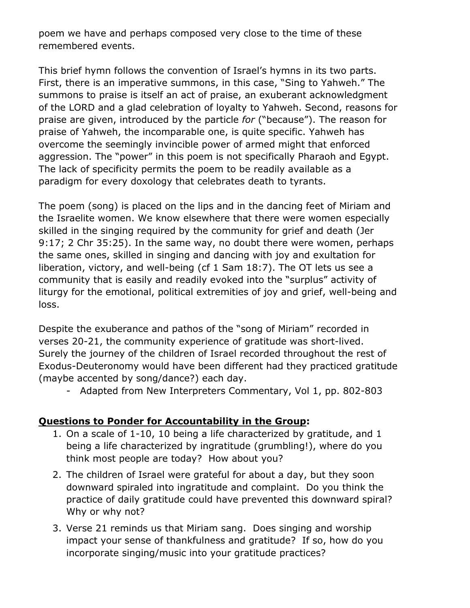poem we have and perhaps composed very close to the time of these remembered events.

This brief hymn follows the convention of Israel's hymns in its two parts. First, there is an imperative summons, in this case, "Sing to Yahweh." The summons to praise is itself an act of praise, an exuberant acknowledgment of the LORD and a glad celebration of loyalty to Yahweh. Second, reasons for praise are given, introduced by the particle *for* ("because"). The reason for praise of Yahweh, the incomparable one, is quite specific. Yahweh has overcome the seemingly invincible power of armed might that enforced aggression. The "power" in this poem is not specifically Pharaoh and Egypt. The lack of specificity permits the poem to be readily available as a paradigm for every doxology that celebrates death to tyrants.

The poem (song) is placed on the lips and in the dancing feet of Miriam and the Israelite women. We know elsewhere that there were women especially skilled in the singing required by the community for grief and death (Jer 9:17; 2 Chr 35:25). In the same way, no doubt there were women, perhaps the same ones, skilled in singing and dancing with joy and exultation for liberation, victory, and well-being (cf 1 Sam 18:7). The OT lets us see a community that is easily and readily evoked into the "surplus" activity of liturgy for the emotional, political extremities of joy and grief, well-being and loss.

Despite the exuberance and pathos of the "song of Miriam" recorded in verses 20-21, the community experience of gratitude was short-lived. Surely the journey of the children of Israel recorded throughout the rest of Exodus-Deuteronomy would have been different had they practiced gratitude (maybe accented by song/dance?) each day.

- Adapted from New Interpreters Commentary, Vol 1, pp. 802-803

## **Questions to Ponder for Accountability in the Group:**

- 1. On a scale of 1-10, 10 being a life characterized by gratitude, and 1 being a life characterized by ingratitude (grumbling!), where do you think most people are today? How about you?
- 2. The children of Israel were grateful for about a day, but they soon downward spiraled into ingratitude and complaint. Do you think the practice of daily gratitude could have prevented this downward spiral? Why or why not?
- 3. Verse 21 reminds us that Miriam sang. Does singing and worship impact your sense of thankfulness and gratitude? If so, how do you incorporate singing/music into your gratitude practices?